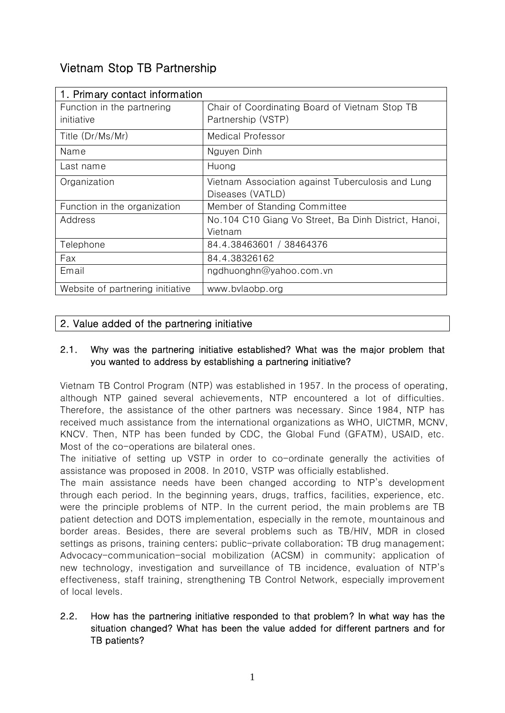# Vietnam Stop TB Partnership

| 1. Primary contact information   |                                                      |
|----------------------------------|------------------------------------------------------|
| Function in the partnering       | Chair of Coordinating Board of Vietnam Stop TB       |
| initiative                       | Partnership (VSTP)                                   |
| Title (Dr/Ms/Mr)                 | Medical Professor                                    |
| Name                             | Nguyen Dinh                                          |
| Last name                        | Huong                                                |
| Organization                     | Vietnam Association against Tuberculosis and Lung    |
|                                  | Diseases (VATLD)                                     |
| Function in the organization     | Member of Standing Committee                         |
| Address                          | No.104 C10 Giang Vo Street, Ba Dinh District, Hanoi, |
|                                  | Vietnam                                              |
| Telephone                        | 84.4.38463601 / 38464376                             |
| Fax                              | 84.4.38326162                                        |
| Email                            | ngdhuonghn@yahoo.com.vn                              |
| Website of partnering initiative | www.bvlaobp.org                                      |

# 2. Value added of the partnering initiative

#### 2.1. Why was the partnering initiative established? What was the major problem that you wanted to address by establishing a partnering initiative?

Vietnam TB Control Program (NTP) was established in 1957. In the process of operating, although NTP gained several achievements, NTP encountered a lot of difficulties. Therefore, the assistance of the other partners was necessary. Since 1984, NTP has received much assistance from the international organizations as WHO, UICTMR, MCNV, KNCV. Then, NTP has been funded by CDC, the Global Fund (GFATM), USAID, etc. Most of the co-operations are bilateral ones.

The initiative of setting up VSTP in order to co-ordinate generally the activities of assistance was proposed in 2008. In 2010, VSTP was officially established.

The main assistance needs have been changed according to NTP's development through each period. In the beginning years, drugs, traffics, facilities, experience, etc. were the principle problems of NTP. In the current period, the main problems are TB patient detection and DOTS implementation, especially in the remote, mountainous and border areas. Besides, there are several problems such as TB/HIV, MDR in closed settings as prisons, training centers; public-private collaboration; TB drug management; Advocacy-communication-social mobilization (ACSM) in community; application of new technology, investigation and surveillance of TB incidence, evaluation of NTP's effectiveness, staff training, strengthening TB Control Network, especially improvement of local levels.

# 2.2. How has the partnering initiative responded to that problem? In what way has the situation changed? What has been the value added for different partners and for TB patients?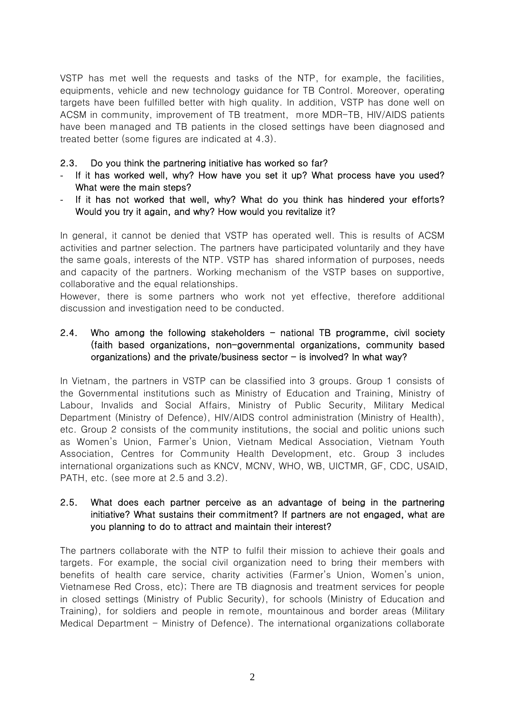VSTP has met well the requests and tasks of the NTP, for example, the facilities, equipments, vehicle and new technology guidance for TB Control. Moreover, operating targets have been fulfilled better with high quality. In addition, VSTP has done well on ACSM in community, improvement of TB treatment, more MDR-TB, HIV/AIDS patients have been managed and TB patients in the closed settings have been diagnosed and treated better (some figures are indicated at 4.3).

## 2.3. Do you think the partnering initiative has worked so far?

- If it has worked well, why? How have you set it up? What process have you used? What were the main steps?
- If it has not worked that well, why? What do you think has hindered your efforts? Would you try it again, and why? How would you revitalize it?

In general, it cannot be denied that VSTP has operated well. This is results of ACSM activities and partner selection. The partners have participated voluntarily and they have the same goals, interests of the NTP. VSTP has shared information of purposes, needs and capacity of the partners. Working mechanism of the VSTP bases on supportive, collaborative and the equal relationships.

However, there is some partners who work not yet effective, therefore additional discussion and investigation need to be conducted.

## 2.4. Who among the following stakeholders  $-$  national TB programme, civil society (faith based organizations, non-governmental organizations, community based organizations) and the private/business sector  $-$  is involved? In what way?

In Vietnam, the partners in VSTP can be classified into 3 groups. Group 1 consists of the Governmental institutions such as Ministry of Education and Training, Ministry of Labour, Invalids and Social Affairs, Ministry of Public Security, Military Medical Department (Ministry of Defence), HIV/AIDS control administration (Ministry of Health), etc. Group 2 consists of the community institutions, the social and politic unions such as Women's Union, Farmer's Union, Vietnam Medical Association, Vietnam Youth Association, Centres for Community Health Development, etc. Group 3 includes international organizations such as KNCV, MCNV, WHO, WB, UICTMR, GF, CDC, USAID, PATH, etc. (see more at 2.5 and 3.2).

#### 2.5. What does each partner perceive as an advantage of being in the partnering initiative? What sustains their commitment? If partners are not engaged, what are you planning to do to attract and maintain their interest?

The partners collaborate with the NTP to fulfil their mission to achieve their goals and targets. For example, the social civil organization need to bring their members with benefits of health care service, charity activities (Farmer's Union, Women's union, Vietnamese Red Cross, etc); There are TB diagnosis and treatment services for people in closed settings (Ministry of Public Security), for schools (Ministry of Education and Training), for soldiers and people in remote, mountainous and border areas (Military Medical Department - Ministry of Defence). The international organizations collaborate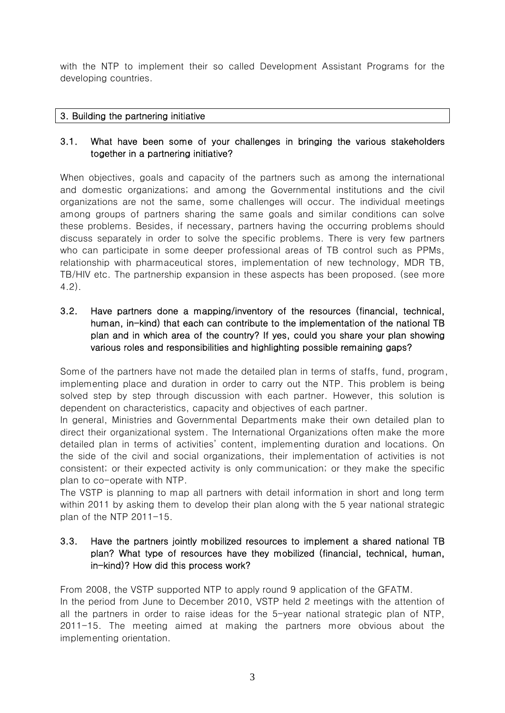with the NTP to implement their so called Development Assistant Programs for the developing countries.

## 3. Building the partnering initiative

## 3.1. What have been some of your challenges in bringing the various stakeholders together in a partnering initiative?

When objectives, goals and capacity of the partners such as among the international and domestic organizations; and among the Governmental institutions and the civil organizations are not the same, some challenges will occur. The individual meetings among groups of partners sharing the same goals and similar conditions can solve these problems. Besides, if necessary, partners having the occurring problems should discuss separately in order to solve the specific problems. There is very few partners who can participate in some deeper professional areas of TB control such as PPMs, relationship with pharmaceutical stores, implementation of new technology, MDR TB, TB/HIV etc. The partnership expansion in these aspects has been proposed. (see more 4.2).

3.2. Have partners done a mapping/inventory of the resources (financial, technical, human, in-kind) that each can contribute to the implementation of the national TB plan and in which area of the country? If yes, could you share your plan showing various roles and responsibilities and highlighting possible remaining gaps?

Some of the partners have not made the detailed plan in terms of staffs, fund, program, implementing place and duration in order to carry out the NTP. This problem is being solved step by step through discussion with each partner. However, this solution is dependent on characteristics, capacity and objectives of each partner.

In general, Ministries and Governmental Departments make their own detailed plan to direct their organizational system. The International Organizations often make the more detailed plan in terms of activities' content, implementing duration and locations. On the side of the civil and social organizations, their implementation of activities is not consistent; or their expected activity is only communication; or they make the specific plan to co-operate with NTP.

The VSTP is planning to map all partners with detail information in short and long term within 2011 by asking them to develop their plan along with the 5 year national strategic plan of the NTP 2011-15.

## 3.3. Have the partners jointly mobilized resources to implement a shared national TB plan? What type of resources have they mobilized (financial, technical, human, in-kind)? How did this process work?

From 2008, the VSTP supported NTP to apply round 9 application of the GFATM. In the period from June to December 2010, VSTP held 2 meetings with the attention of all the partners in order to raise ideas for the 5-year national strategic plan of NTP, 2011-15. The meeting aimed at making the partners more obvious about the implementing orientation.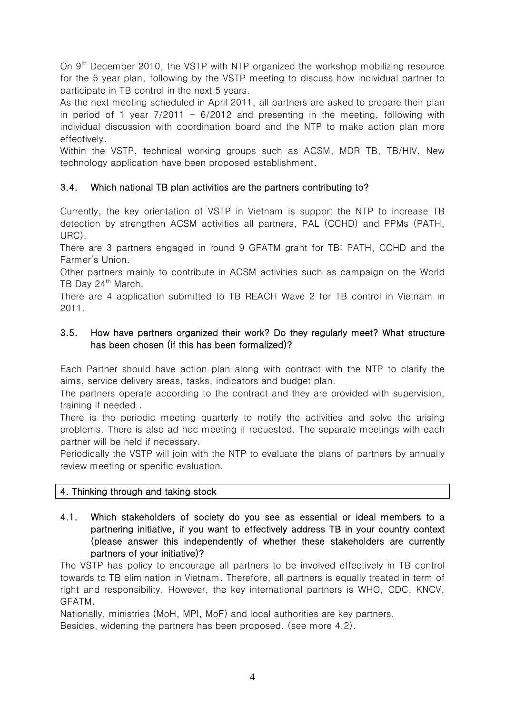On 9<sup>th</sup> December 2010, the VSTP with NTP organized the workshop mobilizing resource for the 5 year plan, following by the VSTP meeting to discuss how individual partner to participate in TB control in the next 5 years.

As the next meeting scheduled in April 2011, all partners are asked to prepare their plan in period of 1 year  $7/2011 - 6/2012$  and presenting in the meeting, following with individual discussion with coordination board and the NTP to make action plan more effectively.

Within the VSTP, technical working groups such as ACSM, MDR TB, TB/HIV, New technology application have been proposed establishment.

# 3.4. Which national TB plan activities are the partners contributing to?

Currently, the key orientation of VSTP in Vietnam is support the NTP to increase TB detection by strengthen ACSM activities all partners, PAL (CCHD) and PPMs (PATH, URC).

There are 3 partners engaged in round 9 GFATM grant for TB: PATH, CCHD and the Farmer's Union.

Other partners mainly to contribute in ACSM activities such as campaign on the World TB Day 24<sup>th</sup> March.

There are 4 application submitted to TB REACH Wave 2 for TB control in Vietnam in 2011.

# 3.5. How have partners organized their work? Do they regularly meet? What structure has been chosen (if this has been formalized)?

Each Partner should have action plan along with contract with the NTP to clarify the aims, service delivery areas, tasks, indicators and budget plan.

The partners operate according to the contract and they are provided with supervision, training if needed .

There is the periodic meeting quarterly to notify the activities and solve the arising problems. There is also ad hoc meeting if requested. The separate meetings with each partner will be held if necessary.

Periodically the VSTP will join with the NTP to evaluate the plans of partners by annually review meeting or specific evaluation.

# 4. Thinking through and taking stock

4.1. Which stakeholders of society do you see as essential or ideal members to a partnering initiative, if you want to effectively address TB in your country context (please answer this independently of whether these stakeholders are currently partners of your initiative)?

The VSTP has policy to encourage all partners to be involved effectively in TB control towards to TB elimination in Vietnam. Therefore, all partners is equally treated in term of right and responsibility. However, the key international partners is WHO, CDC, KNCV, GFATM.

Nationally, ministries (MoH, MPI, MoF) and local authorities are key partners. Besides, widening the partners has been proposed. (see more 4.2).